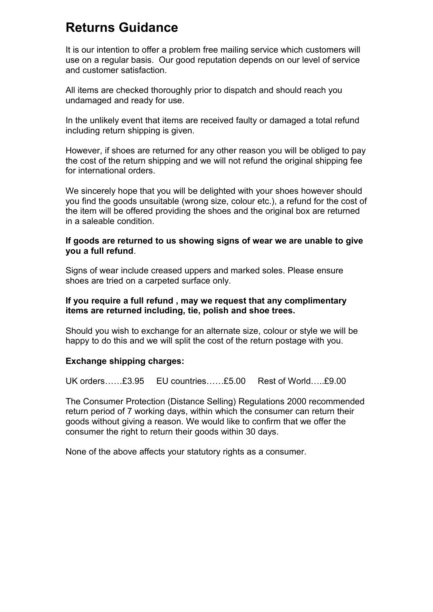# **Returns Guidance**

It is our intention to offer a problem free mailing service which customers will use on a regular basis. Our good reputation depends on our level of service and customer satisfaction.

All items are checked thoroughly prior to dispatch and should reach you undamaged and ready for use.

In the unlikely event that items are received faulty or damaged a total refund including return shipping is given.

However, if shoes are returned for any other reason you will be obliged to pay the cost of the return shipping and we will not refund the original shipping fee for international orders.

We sincerely hope that you will be delighted with your shoes however should you find the goods unsuitable (wrong size, colour etc.), a refund for the cost of the item will be offered providing the shoes and the original box are returned in a saleable condition.

### **If goods are returned to us showing signs of wear we are unable to give you a full refund**.

Signs of wear include creased uppers and marked soles. Please ensure shoes are tried on a carpeted surface only.

### **If you require a full refund , may we request that any complimentary items are returned including, tie, polish and shoe trees.**

Should you wish to exchange for an alternate size, colour or style we will be happy to do this and we will split the cost of the return postage with you.

### **Exchange shipping charges:**

UK orders……£3.95 EU countries……£5.00 Rest of World…..£9.00

The Consumer Protection (Distance Selling) Regulations 2000 recommended return period of 7 working days, within which the consumer can return their goods without giving a reason. We would like to confirm that we offer the consumer the right to return their goods within 30 days.

None of the above affects your statutory rights as a consumer.